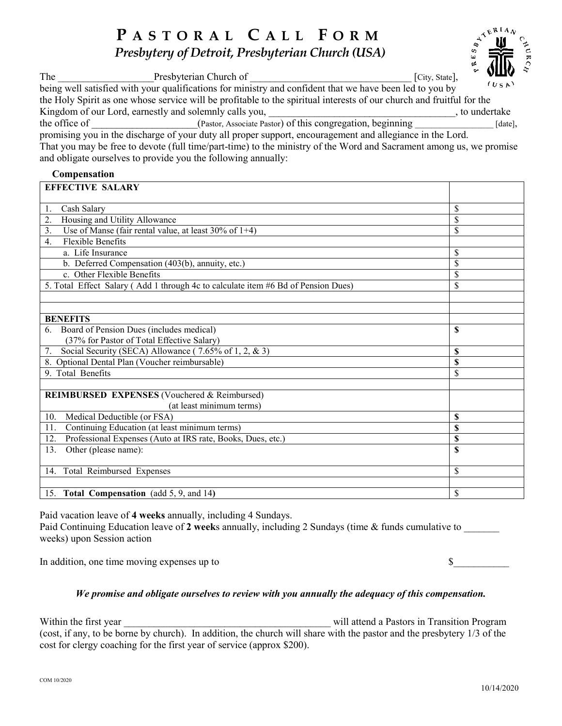# **P ASTORAL C ALL F ORM**

*Presbytery of Detroit, Presbyterian Church (USA)*

| The                                                           | Presbyterian Church of                                                                                                | VWV.<br>[City, State], |  |  |
|---------------------------------------------------------------|-----------------------------------------------------------------------------------------------------------------------|------------------------|--|--|
|                                                               | being well satisfied with your qualifications for ministry and confident that we have been led to you by              | (USA)                  |  |  |
|                                                               | the Holy Spirit as one whose service will be profitable to the spiritual interests of our church and fruitful for the |                        |  |  |
|                                                               | Kingdom of our Lord, earnestly and solemnly calls you,                                                                | to undertake           |  |  |
| the office of                                                 | (Pastor, Associate Pastor) of this congregation, beginning                                                            | $[date]$ ,             |  |  |
|                                                               | promising you in the discharge of your duty all proper support, encouragement and allegiance in the Lord.             |                        |  |  |
|                                                               | That you may be free to devote (full time/part-time) to the ministry of the Word and Sacrament among us, we promise   |                        |  |  |
| and obligate ourselves to provide you the following annually: |                                                                                                                       |                        |  |  |

# **Compensation**

| <b>EFFECTIVE SALARY</b>                                                           |    |  |
|-----------------------------------------------------------------------------------|----|--|
|                                                                                   | \$ |  |
| Cash Salary<br>1.                                                                 |    |  |
| Housing and Utility Allowance<br>2.                                               | \$ |  |
| Use of Manse (fair rental value, at least $30\%$ of 1+4)<br>3.                    | \$ |  |
| Flexible Benefits<br>4.                                                           |    |  |
| a. Life Insurance                                                                 | \$ |  |
| b. Deferred Compensation (403(b), annuity, etc.)                                  | \$ |  |
| c. Other Flexible Benefits                                                        | \$ |  |
| 5. Total Effect Salary (Add 1 through 4c to calculate item #6 Bd of Pension Dues) | \$ |  |
|                                                                                   |    |  |
|                                                                                   |    |  |
| <b>BENEFITS</b>                                                                   |    |  |
| Board of Pension Dues (includes medical)                                          | \$ |  |
| (37% for Pastor of Total Effective Salary)                                        |    |  |
| Social Security (SECA) Allowance (7.65% of 1, 2, & 3)<br>7.                       | \$ |  |
| 8. Optional Dental Plan (Voucher reimbursable)                                    | \$ |  |
| 9. Total Benefits                                                                 | \$ |  |
|                                                                                   |    |  |
| <b>REIMBURSED EXPENSES</b> (Vouchered & Reimbursed)                               |    |  |
| (at least minimum terms)                                                          |    |  |
| 10.<br>Medical Deductible (or FSA)                                                | \$ |  |
| Continuing Education (at least minimum terms)<br>11.                              | S  |  |
| Professional Expenses (Auto at IRS rate, Books, Dues, etc.)<br>12.                | \$ |  |
| 13.<br>Other (please name):                                                       | \$ |  |
|                                                                                   |    |  |
| 14. Total Reimbursed Expenses                                                     | \$ |  |
|                                                                                   |    |  |
| 15. Total Compensation (add 5, 9, and 14)                                         | \$ |  |

Paid vacation leave of **4 weeks** annually, including 4 Sundays. Paid Continuing Education leave of 2 weeks annually, including 2 Sundays (time & funds cumulative to weeks) upon Session action

In addition, one time moving expenses up to  $\$ 

# *We promise and obligate ourselves to review with you annually the adequacy of this compensation.*

Within the first year **will attend a Pastors in Transition Program** (cost, if any, to be borne by church). In addition, the church will share with the pastor and the presbytery 1/3 of the cost for clergy coaching for the first year of service (approx \$200).